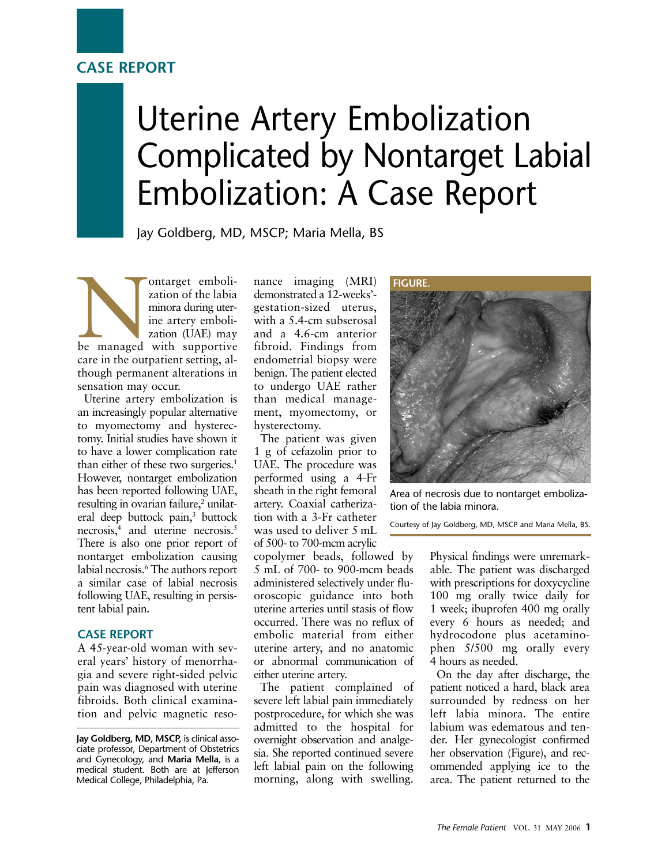## **CASE REPORT**

# Uterine Artery Embolization Complicated by Nontarget Labial Embolization: A Case Report

Jay Goldberg, MD, MSCP; Maria Mella, BS

Nontarget embolization of the labia<br>
minora during uter-<br>
ine artery embolization (UAE) may<br>
be managed with supportive zation of the labia minora during uterine artery embolization (UAE) may care in the outpatient setting, although permanent alterations in sensation may occur.

Uterine artery embolization is an increasingly popular alternative to myomectomy and hysterectomy. Initial studies have shown it to have a lower complication rate than either of these two surgeries.<sup>1</sup> However, nontarget embolization has been reported following UAE, resulting in ovarian failure,<sup>2</sup> unilateral deep buttock pain,<sup>3</sup> buttock necrosis,<sup>4</sup> and uterine necrosis.<sup>5</sup> There is also one prior report of nontarget embolization causing labial necrosis.<sup>6</sup> The authors report a similar case of labial necrosis following UAE, resulting in persistent labial pain.

#### **CASE REPORT**

A 45-year-old woman with several years' history of menorrhagia and severe right-sided pelvic pain was diagnosed with uterine fibroids. Both clinical examination and pelvic magnetic reso-

**Jay Goldberg, MD, MSCP,** is clinical associate professor, Department of Obstetrics and Gynecology, and **Maria Mella,** is a medical student. Both are at Jefferson Medical College, Philadelphia, Pa.

nance imaging (MRI) demonstrated a 12-weeks' gestation-sized uterus, with a 5.4-cm subserosal and a 4.6-cm anterior fibroid. Findings from endometrial biopsy were benign. The patient elected to undergo UAE rather than medical management, myomectomy, or hysterectomy.

The patient was given 1 g of cefazolin prior to UAE. The procedure was performed using a 4-Fr sheath in the right femoral artery. Coaxial catherization with a 3-Fr catheter was used to deliver 5 mL of 500- to 700-mcm acrylic

copolymer beads, followed by 5 mL of 700- to 900-mcm beads administered selectively under fluoroscopic guidance into both uterine arteries until stasis of flow occurred. There was no reflux of embolic material from either uterine artery, and no anatomic or abnormal communication of either uterine artery.

The patient complained of severe left labial pain immediately postprocedure, for which she was admitted to the hospital for overnight observation and analgesia. She reported continued severe left labial pain on the following morning, along with swelling.



Area of necrosis due to nontarget embolization of the labia minora.

Courtesy of Jay Goldberg, MD, MSCP and Maria Mella, BS.

Physical findings were unremarkable. The patient was discharged with prescriptions for doxycycline 100 mg orally twice daily for 1 week; ibuprofen 400 mg orally every 6 hours as needed; and hydrocodone plus acetaminophen 5/500 mg orally every 4 hours as needed.

On the day after discharge, the patient noticed a hard, black area surrounded by redness on her left labia minora. The entire labium was edematous and tender. Her gynecologist confirmed her observation (Figure), and recommended applying ice to the area. The patient returned to the